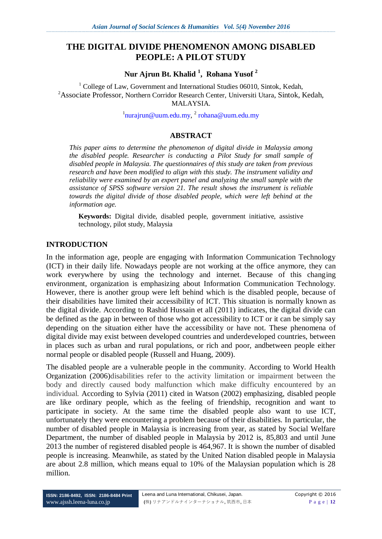# **THE DIGITAL DIVIDE PHENOMENON AMONG DISABLED PEOPLE: A PILOT STUDY**

**Nur Ajrun Bt. Khalid <sup>1</sup> , Rohana Yusof <sup>2</sup>**

<sup>1</sup> College of Law, Government and International Studies 06010, Sintok, Kedah, <sup>2</sup>Associate Professor, Northern Corridor Research Center, Universiti Utara, Sintok, Kedah, MALAYSIA.

 $^{1}$ [nurajrun@uum.edu.my,](mailto:nurajrun@uum.edu.my)  $^{2}$  [rohana@uum.edu.my](mailto:rohana@uum.edu.my)

## **ABSTRACT**

*This paper aims to determine the phenomenon of digital divide in Malaysia among the disabled people. Researcher is conducting a Pilot Study for small sample of disabled people in Malaysia. The questionnaires of this study are taken from previous research and have been modified to align with this study. The instrument validity and reliability were examined by an expert panel and analyzing the small sample with the assistance of SPSS software version 21. The result shows the instrument is reliable towards the digital divide of those disabled people, which were left behind at the information age.* 

**Keywords:** Digital divide, disabled people, government initiative, assistive technology, pilot study, Malaysia

### **INTRODUCTION**

In the information age, people are engaging with Information Communication Technology (ICT) in their daily life. Nowadays people are not working at the office anymore, they can work everywhere by using the technology and internet. Because of this changing environment, organization is emphasizing about Information Communication Technology. However, there is another group were left behind which is the disabled people, because of their disabilities have limited their accessibility of ICT. This situation is normally known as the digital divide. According to Rashid Hussain et all (2011) indicates, the digital divide can be defined as the gap in between of those who got accessibility to ICT or it can be simply say depending on the situation either have the accessibility or have not. These phenomena of digital divide may exist between developed countries and underdeveloped countries, between in places such as urban and rural populations, or rich and poor, andbetween people either normal people or disabled people (Russell and Huang, 2009).

The disabled people are a vulnerable people in the community. According to World Health Organization (2006)disabilities refer to the activity limitation or impairment between the body and directly caused body malfunction which make difficulty encountered by an individual. According to Sylvia (2011) cited in Watson (2002) emphasizing, disabled people are like ordinary people, which as the feeling of friendship, recognition and want to participate in society. At the same time the disabled people also want to use ICT, unfortunately they were encountering a problem because of their disabilities. In particular, the number of disabled people in Malaysia is increasing from year, as stated by Social Welfare Department, the number of disabled people in Malaysia by 2012 is, 85,803 and until June 2013 the number of registered disabled people is 464,967. It is shown the number of disabled people is increasing. Meanwhile, as stated by the United Nation disabled people in Malaysia are about 2.8 million, which means equal to 10% of the Malaysian population which is 28 million.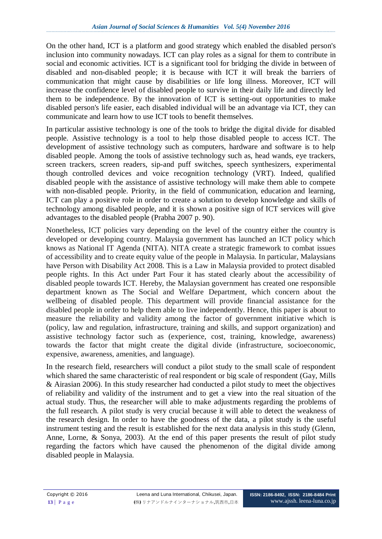On the other hand, ICT is a platform and good strategy which enabled the disabled person's inclusion into community nowadays. ICT can play roles as a signal for them to contribute in social and economic activities. ICT is a significant tool for bridging the divide in between of disabled and non-disabled people; it is because with ICT it will break the barriers of communication that might cause by disabilities or life long illness. Moreover, ICT will increase the confidence level of disabled people to survive in their daily life and directly led them to be independence. By the innovation of ICT is setting-out opportunities to make disabled person's life easier, each disabled individual will be an advantage via ICT, they can communicate and learn how to use ICT tools to benefit themselves.

In particular assistive technology is one of the tools to bridge the digital divide for disabled people. Assistive technology is a tool to help those disabled people to access ICT. The development of assistive technology such as computers, hardware and software is to help disabled people. Among the tools of assistive technology such as, head wands, eye trackers, screen trackers, screen readers, sip-and puff switches, speech synthesizers, experimental though controlled devices and voice recognition technology (VRT). Indeed, qualified disabled people with the assistance of assistive technology will make them able to compete with non-disabled people. Priority, in the field of communication, education and learning, ICT can play a positive role in order to create a solution to develop knowledge and skills of technology among disabled people, and it is shown a positive sign of ICT services will give advantages to the disabled people (Prabha 2007 p. 90).

Nonetheless, ICT policies vary depending on the level of the country either the country is developed or developing country. Malaysia government has launched an ICT policy which knows as National IT Agenda (NITA). NITA create a strategic framework to combat issues of accessibility and to create equity value of the people in Malaysia. In particular, Malaysians have Person with Disability Act 2008. This is a Law in Malaysia provided to protect disabled people rights. In this Act under Part Four it has stated clearly about the accessibility of disabled people towards ICT. Hereby, the Malaysian government has created one responsible department known as The Social and Welfare Department, which concern about the wellbeing of disabled people. This department will provide financial assistance for the disabled people in order to help them able to live independently. Hence, this paper is about to measure the reliability and validity among the factor of government initiative which is (policy, law and regulation, infrastructure, training and skills, and support organization) and assistive technology factor such as (experience, cost, training, knowledge, awareness) towards the factor that might create the digital divide (infrastructure, socioeconomic, expensive, awareness, amenities, and language).

In the research field, researchers will conduct a pilot study to the small scale of respondent which shared the same characteristic of real respondent or big scale of respondent (Gay, Mills) & Airasian 2006). In this study researcher had conducted a pilot study to meet the objectives of reliability and validity of the instrument and to get a view into the real situation of the actual study. Thus, the researcher will able to make adjustments regarding the problems of the full research. A pilot study is very crucial because it will able to detect the weakness of the research design. In order to have the goodness of the data, a pilot study is the useful instrument testing and the result is established for the next data analysis in this study (Glenn, Anne, Lorne, & Sonya, 2003). At the end of this paper presents the result of pilot study regarding the factors which have caused the phenomenon of the digital divide among disabled people in Malaysia.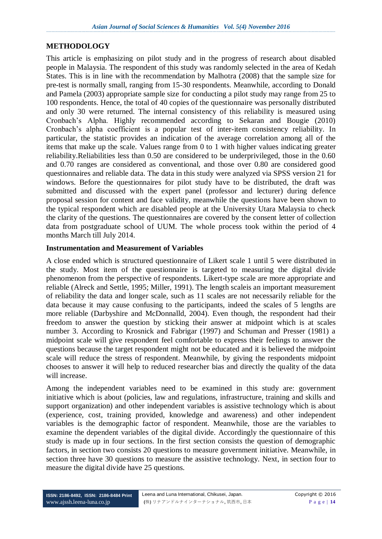#### **METHODOLOGY**

This article is emphasizing on pilot study and in the progress of research about disabled people in Malaysia. The respondent of this study was randomly selected in the area of Kedah States. This is in line with the recommendation by Malhotra (2008) that the sample size for pre-test is normally small, ranging from 15-30 respondents. Meanwhile, according to Donald and Pamela (2003) appropriate sample size for conducting a pilot study may range from 25 to 100 respondents. Hence, the total of 40 copies of the questionnaire was personally distributed and only 30 were returned. The internal consistency of this reliability is measured using Cronbach's Alpha. Highly recommended according to Sekaran and Bougie (2010) Cronbach's alpha coefficient is a popular test of inter-item consistency reliability. In particular, the statistic provides an indication of the average correlation among all of the items that make up the scale. Values range from 0 to 1 with higher values indicating greater reliability.Reliabilities less than 0.50 are considered to be underprivileged, those in the 0.60 and 0.70 ranges are considered as conventional, and those over 0.80 are considered good questionnaires and reliable data. The data in this study were analyzed via SPSS version 21 for windows. Before the questionnaires for pilot study have to be distributed, the draft was submitted and discussed with the expert panel (professor and lecturer) during defence proposal session for content and face validity, meanwhile the questions have been shown to the typical respondent which are disabled people at the University Utara Malaysia to check the clarity of the questions. The questionnaires are covered by the consent letter of collection data from postgraduate school of UUM. The whole process took within the period of 4 months March till July 2014.

#### **Instrumentation and Measurement of Variables**

A close ended which is structured questionnaire of Likert scale 1 until 5 were distributed in the study. Most item of the questionnaire is targeted to measuring the digital divide phenomenon from the perspective of respondents. Likert-type scale are more appropriate and reliable (Alreck and Settle, 1995; Miller, 1991). The length scaleis an important measurement of reliability the data and longer scale, such as 11 scales are not necessarily reliable for the data because it may cause confusing to the participants, indeed the scales of 5 lengths are more reliable (Darbyshire and McDonnalld, 2004). Even though, the respondent had their freedom to answer the question by sticking their answer at midpoint which is at scales number 3. According to Krosnick and Fabrigar (1997) and Schuman and Presser (1981) a midpoint scale will give respondent feel comfortable to express their feelings to answer the questions because the target respondent might not be educated and it is believed the midpoint scale will reduce the stress of respondent. Meanwhile, by giving the respondents midpoint chooses to answer it will help to reduced researcher bias and directly the quality of the data will increase.

Among the independent variables need to be examined in this study are: government initiative which is about (policies, law and regulations, infrastructure, training and skills and support organization) and other independent variables is assistive technology which is about (experience, cost, training provided, knowledge and awareness) and other independent variables is the demographic factor of respondent. Meanwhile, those are the variables to examine the dependent variables of the digital divide. Accordingly the questionnaire of this study is made up in four sections. In the first section consists the question of demographic factors, in section two consists 20 questions to measure government initiative. Meanwhile, in section three have 30 questions to measure the assistive technology. Next, in section four to measure the digital divide have 25 questions.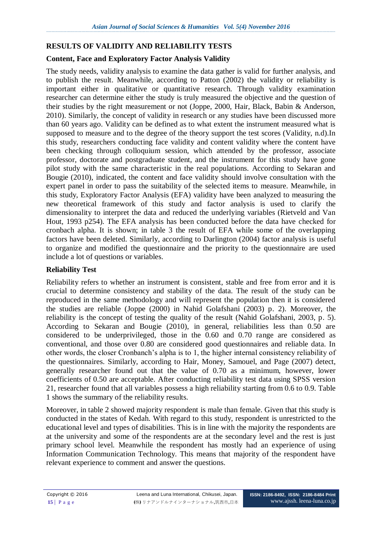## **RESULTS OF VALIDITY AND RELIABILITY TESTS**

## **Content, Face and Exploratory Factor Analysis Validity**

The study needs, validity analysis to examine the data gather is valid for further analysis, and to publish the result. Meanwhile, according to Patton (2002) the validity or reliability is important either in qualitative or quantitative research. Through validity examination researcher can determine either the study is truly measured the objective and the question of their studies by the right measurement or not (Joppe, 2000, Hair, Black, Babin & Anderson, 2010). Similarly, the concept of validity in research or any studies have been discussed more than 60 years ago. Validity can be defined as to what extent the instrument measured what is supposed to measure and to the degree of the theory support the test scores (Validity, n.d).In this study, researchers conducting face validity and content validity where the content have been checking through colloquium session, which attended by the professor, associate professor, doctorate and postgraduate student, and the instrument for this study have gone pilot study with the same characteristic in the real populations. According to Sekaran and Bougie (2010), indicated, the content and face validity should involve consultation with the expert panel in order to pass the suitability of the selected items to measure. Meanwhile, in this study, Exploratory Factor Analysis (EFA) validity have been analyzed to measuring the new theoretical framework of this study and factor analysis is used to clarify the dimensionality to interpret the data and reduced the underlying variables (Rietveld and Van Hout, 1993 p254). The EFA analysis has been conducted before the data have checked for cronbach alpha. It is shown; in table 3 the result of EFA while some of the overlapping factors have been deleted. Similarly, according to Darlington (2004) factor analysis is useful to organize and modified the questionnaire and the priority to the questionnaire are used include a lot of questions or variables.

### **Reliability Test**

Reliability refers to whether an instrument is consistent, stable and free from error and it is crucial to determine consistency and stability of the data. The result of the study can be reproduced in the same methodology and will represent the population then it is considered the studies are reliable (Joppe (2000) in Nahid Golafshani (2003) p. 2). Moreover, the reliability is the concept of testing the quality of the result (Nahid Golafshani, 2003, p. 5). According to Sekaran and Bougie (2010), in general, reliabilities less than 0.50 are considered to be underprivileged, those in the 0.60 and 0.70 range are considered as conventional, and those over 0.80 are considered good questionnaires and reliable data. In other words, the closer Cronbanch's alpha is to 1, the higher internal consistency reliability of the questionnaires. Similarly, according to Hair, Money, Samouel, and Page (2007) detect, generally researcher found out that the value of 0.70 as a minimum, however, lower coefficients of 0.50 are acceptable. After conducting reliability test data using SPSS version 21, researcher found that all variables possess a high reliability starting from 0.6 to 0.9. Table 1 shows the summary of the reliability results.

Moreover, in table 2 showed majority respondent is male than female. Given that this study is conducted in the states of Kedah. With regard to this study, respondent is unrestricted to the educational level and types of disabilities. This is in line with the majority the respondents are at the university and some of the respondents are at the secondary level and the rest is just primary school level. Meanwhile the respondent has mostly had an experience of using Information Communication Technology. This means that majority of the respondent have relevant experience to comment and answer the questions.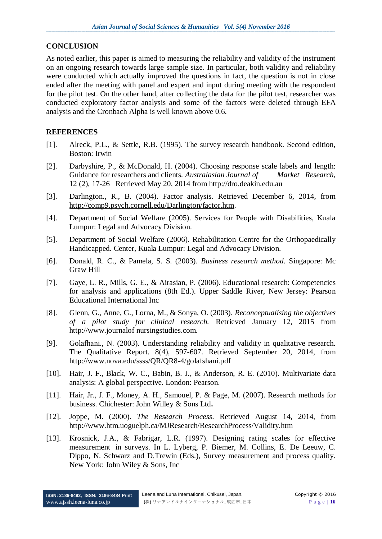#### **CONCLUSION**

As noted earlier, this paper is aimed to measuring the reliability and validity of the instrument on an ongoing research towards large sample size. In particular, both validity and reliability were conducted which actually improved the questions in fact, the question is not in close ended after the meeting with panel and expert and input during meeting with the respondent for the pilot test. On the other hand, after collecting the data for the pilot test, researcher was conducted exploratory factor analysis and some of the factors were deleted through EFA analysis and the Cronbach Alpha is well known above 0.6.

### **REFERENCES**

- [1]. Alreck, P.L., & Settle, R.B. (1995). The survey research handbook. Second edition, Boston: Irwin
- [2]. Darbyshire, P., & McDonald, H. (2004). Choosing response scale labels and length: Guidance for researchers and clients*. Australasian Journal of Market Research*, 12 (2), 17-26 Retrieved May 20, 2014 from http://dro.deakin.edu.au
- [3]. Darlington., R., B. (2004). Factor analysis. Retrieved December 6, 2014, from [http://comp9.psych.cornell.edu/Darlington/factor.htm.](http://comp9.psych.cornell.edu/Darlington/factor.htm)
- [4]. Department of Social Welfare (2005). Services for People with Disabilities, Kuala Lumpur: Legal and Advocacy Division.
- [5]. Department of Social Welfare (2006). Rehabilitation Centre for the Orthopaedically Handicapped. Center, Kuala Lumpur: Legal and Advocacy Division.
- [6]. Donald, R. C., & Pamela, S. S. (2003). *Business research method*. Singapore: Mc Graw Hill
- [7]. Gaye, L. R., Mills, G. E., & Airasian, P. (2006). Educational research: Competencies for analysis and applications (8th Ed.). Upper Saddle River, New Jersey: Pearson Educational International Inc
- [8]. Glenn, G., Anne, G., Lorna, M., & Sonya, O. (2003). *Reconceptualising the objectives of a pilot study for clinical research.* Retrieved January 12, 2015 from [http://www.journalof](http://www.journalof/) nursingstudies.com.
- [9]. Golafhani., N. (2003). Understanding reliability and validity in qualitative research. The Qualitative Report. 8(4), 597-607. Retrieved September 20, 2014, from http://www.nova.edu/ssss/QR/QR8-4/golafshani.pdf
- [10]. Hair, J. F., Black, W. C., Babin, B. J., & Anderson, R. E. (2010). Multivariate data analysis: A global perspective. London: Pearson.
- [11]. Hair, Jr., J. F., Money, A. H., Samouel, P. & Page, M. (2007). Research methods for business. Chichester: John Willey & Sons Ltd**.**
- [12]. Joppe, M. (2000). *The Research Process*. Retrieved August 14, 2014, from <http://www.htm.uoguelph.ca/MJResearch/ResearchProcess/Validity.htm>
- [13]. Krosnick, J.A., & Fabrigar, L.R. (1997). Designing rating scales for effective measurement in surveys. In L. Lyberg, P. Biemer, M. Collins, E. De Leeuw, C. Dippo, N. Schwarz and D.Trewin (Eds.), Survey measurement and process quality. New York: John Wiley & Sons, Inc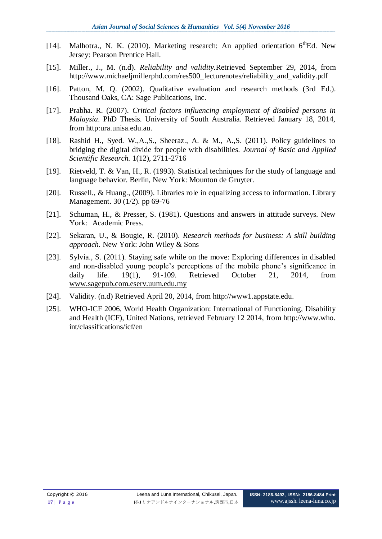- [14]. Malhotra., N. K. (2010). Marketing research: An applied orientation  $6^{th}Ed$ . New Jersey: Pearson Prentice Hall.
- [15]. Miller., J., M. (n.d). *Reliability and validity.*Retrieved September 29, 2014, from http://www.michaeljmillerphd.com/res500\_lecturenotes/reliability\_and\_validity.pdf
- [16]. Patton, M. Q. (2002). Qualitative evaluation and research methods (3rd Ed.). Thousand Oaks, CA: Sage Publications, Inc.
- [17]. Prabha. R. (2007). *Critical factors influencing employment of disabled persons in Malaysia*. PhD Thesis. University of South Australia. Retrieved January 18, 2014, from http:ura.unisa.edu.au.
- [18]. Rashid H., Syed. W.,A.,S., Sheeraz., A. & M., A.,S. (2011). Policy guidelines to bridging the digital divide for people with disabilities. *Journal of Basic and Applied Scientific Research.* 1(12), 2711-2716
- [19]. Rietveld, T. & Van, H., R. (1993). Statistical techniques for the study of language and language behavior. Berlin, New York: Mounton de Gruyter.
- [20]. Russell., & Huang., (2009). Libraries role in equalizing access to information. Library Management. 30 (1/2). pp 69-76
- [21]. Schuman, H., & Presser, S. (1981). Questions and answers in attitude surveys. New York: Academic Press.
- [22]. Sekaran, U., & Bougie, R. (2010). *Research methods for business: A skill building approach*. New York: John Wiley & Sons
- [23]. Sylvia., S. (2011). Staying safe while on the move: Exploring differences in disabled and non-disabled young people's perceptions of the mobile phone's significance in daily life. 19(1), 91-109. Retrieved October 21, 2014, from [www.sagepub.com.eserv.uum.edu.my](http://www.sagepub.com.eserv.uum.edu.my/)
- [24]. Validity. (n.d) Retrieved April 20, 2014, from [http://www1.appstate.edu.](http://www1.appstate.edu/)
- [25]. WHO-ICF 2006, World Health Organization: International of Functioning, Disability and Health (ICF), United Nations, retrieved February 12 2014, from http://www.who. int/classifications/icf/en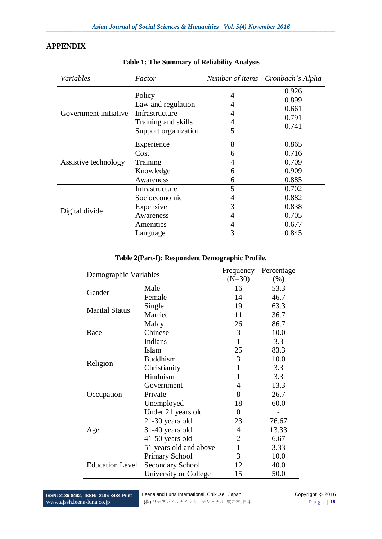### **APPENDIX**

| Variables             | Factor               |   | Number of items Cronbach's Alpha |  |
|-----------------------|----------------------|---|----------------------------------|--|
| Government initiative | Policy               | 4 | 0.926                            |  |
|                       |                      |   | 0.899                            |  |
|                       | Law and regulation   | 4 | 0.661                            |  |
|                       | Infrastructure       | 4 | 0.791                            |  |
|                       | Training and skills  | 4 | 0.741                            |  |
|                       | Support organization | 5 |                                  |  |
|                       | Experience           | 8 | 0.865                            |  |
|                       | Cost                 | 6 | 0.716                            |  |
| Assistive technology  | Training             | 4 | 0.709                            |  |
|                       | Knowledge            | 6 | 0.909                            |  |
|                       | Awareness            | 6 | 0.885                            |  |
| Digital divide        | Infrastructure       | 5 | 0.702                            |  |
|                       | Socioeconomic        | 4 | 0.882                            |  |
|                       | Expensive            | 3 | 0.838                            |  |
|                       | Awareness            | 4 | 0.705                            |  |
|                       | Amenities            | 4 | 0.677                            |  |
|                       | Language             | 3 | 0.845                            |  |

#### **Table 1: The Summary of Reliability Analysis**

### **Table 2(Part-I): Respondent Demographic Profile.**

| Demographic Variables  |                         | Frequency      | Percentage |
|------------------------|-------------------------|----------------|------------|
|                        |                         | $(N=30)$       | $(\%)$     |
| Gender                 | Male                    | 16             | 53.3       |
|                        | Female                  | 14             | 46.7       |
| <b>Marital Status</b>  | Single                  | 19             | 63.3       |
|                        | Married                 | 11             | 36.7       |
|                        | Malay                   | 26             | 86.7       |
| Race                   | Chinese                 | 3              | 10.0       |
|                        | Indians                 | $\mathbf{1}$   | 3.3        |
| Religion               | <b>Islam</b>            | 25             | 83.3       |
|                        | <b>Buddhism</b>         | 3              | 10.0       |
|                        | Christianity            | 1              | 3.3        |
|                        | Hinduism                | $\mathbf{1}$   | 3.3        |
| Occupation             | Government              | 4              | 13.3       |
|                        | Private                 | 8              | 26.7       |
|                        | Unemployed              | 18             | 60.0       |
| Age                    | Under 21 years old      | $\overline{0}$ |            |
|                        | 21-30 years old         | 23             | 76.67      |
|                        | 31-40 years old         | 4              | 13.33      |
|                        | 41-50 years old         | $\overline{2}$ | 6.67       |
|                        | 51 years old and above  | 1              | 3.33       |
| <b>Education Level</b> | <b>Primary School</b>   | 3              | 10.0       |
|                        | <b>Secondary School</b> | 12             | 40.0       |
|                        | University or College   | 15             | 50.0       |

**ISSN: 2186-8492, ISSN: 2186-8484 Print** www.ajssh.leena-luna.co.jp

Ĭ.